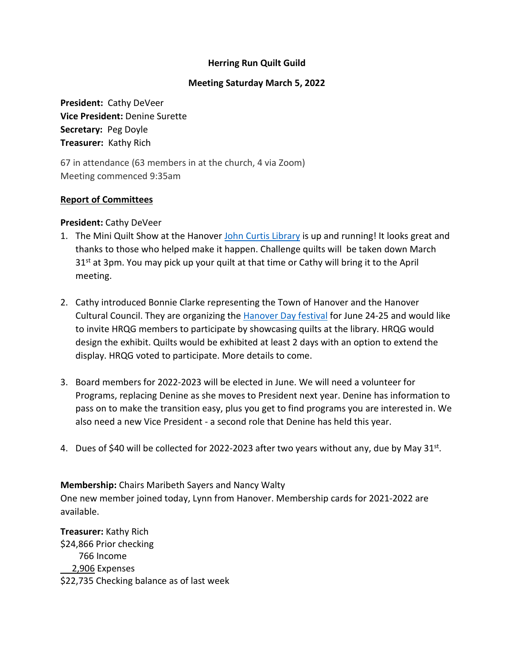### **Herring Run Quilt Guild**

#### **Meeting Saturday March 5, 2022**

**President:** Cathy DeVeer **Vice President:** Denine Surette **Secretary:** Peg Doyle **Treasurer:** Kathy Rich

67 in attendance (63 members in at the church, 4 via Zoom) Meeting commenced 9:35am

#### **Report of Committees**

#### **President:** Cathy DeVeer

- 1. The Mini Quilt Show at the Hanover [John Curtis Library](https://www.hanover-ma.gov/john-curtis-free-library) is up and running! It looks great and thanks to those who helped make it happen. Challenge quilts will be taken down March  $31<sup>st</sup>$  at 3pm. You may pick up your quilt at that time or Cathy will bring it to the April meeting.
- 2. Cathy introduced Bonnie Clarke representing the Town of Hanover and the Hanover Cultural Council. They are organizing the [Hanover Day festival](https://hanoverday.com/) for June 24-25 and would like to invite HRQG members to participate by showcasing quilts at the library. HRQG would design the exhibit. Quilts would be exhibited at least 2 days with an option to extend the display. HRQG voted to participate. More details to come.
- 3. Board members for 2022-2023 will be elected in June. We will need a volunteer for Programs, replacing Denine as she moves to President next year. Denine has information to pass on to make the transition easy, plus you get to find programs you are interested in. We also need a new Vice President - a second role that Denine has held this year.
- 4. Dues of \$40 will be collected for 2022-2023 after two years without any, due by May  $31^{st}$ .

**Membership:** Chairs Maribeth Sayers and Nancy Walty One new member joined today, Lynn from Hanover. Membership cards for 2021-2022 are available.

**Treasurer:** Kathy Rich \$24,866 Prior checking 766 Income 2,906 Expenses \$22,735 Checking balance as of last week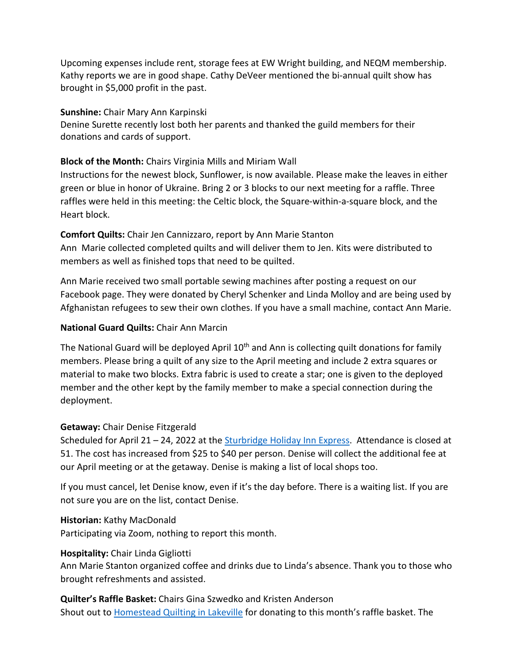Upcoming expenses include rent, storage fees at EW Wright building, and NEQM membership. Kathy reports we are in good shape. Cathy DeVeer mentioned the bi-annual quilt show has brought in \$5,000 profit in the past.

#### **Sunshine:** Chair Mary Ann Karpinski

Denine Surette recently lost both her parents and thanked the guild members for their donations and cards of support.

# **Block of the Month:** Chairs Virginia Mills and Miriam Wall

Instructions for the newest block, Sunflower, is now available. Please make the leaves in either green or blue in honor of Ukraine. Bring 2 or 3 blocks to our next meeting for a raffle. Three raffles were held in this meeting: the Celtic block, the Square-within-a-square block, and the Heart block.

# **Comfort Quilts:** Chair Jen Cannizzaro, report by Ann Marie Stanton

Ann Marie collected completed quilts and will deliver them to Jen. Kits were distributed to members as well as finished tops that need to be quilted.

Ann Marie received two small portable sewing machines after posting a request on our Facebook page. They were donated by Cheryl Schenker and Linda Molloy and are being used by Afghanistan refugees to sew their own clothes. If you have a small machine, contact Ann Marie.

# **National Guard Quilts:** Chair Ann Marcin

The National Guard will be deployed April 10<sup>th</sup> and Ann is collecting quilt donations for family members. Please bring a quilt of any size to the April meeting and include 2 extra squares or material to make two blocks. Extra fabric is used to create a star; one is given to the deployed member and the other kept by the family member to make a special connection during the deployment.

# **Getaway:** Chair Denise Fitzgerald

Scheduled for April 21 – 24, 2022 at th[e Sturbridge Holiday Inn Express.](https://www.ihg.com/holidayinnexpress/hotels/us/en/sturbridge/stbma/hoteldetail) Attendance is closed at 51. The cost has increased from \$25 to \$40 per person. Denise will collect the additional fee at our April meeting or at the getaway. Denise is making a list of local shops too.

If you must cancel, let Denise know, even if it's the day before. There is a waiting list. If you are not sure you are on the list, contact Denise.

# **Historian:** Kathy MacDonald

Participating via Zoom, nothing to report this month.

# **Hospitality:** Chair Linda Gigliotti

Ann Marie Stanton organized coffee and drinks due to Linda's absence. Thank you to those who brought refreshments and assisted.

**Quilter's Raffle Basket:** Chairs Gina Szwedko and Kristen Anderson Shout out to **Homestead Quilting in Lakeville** for donating to this month's raffle basket. The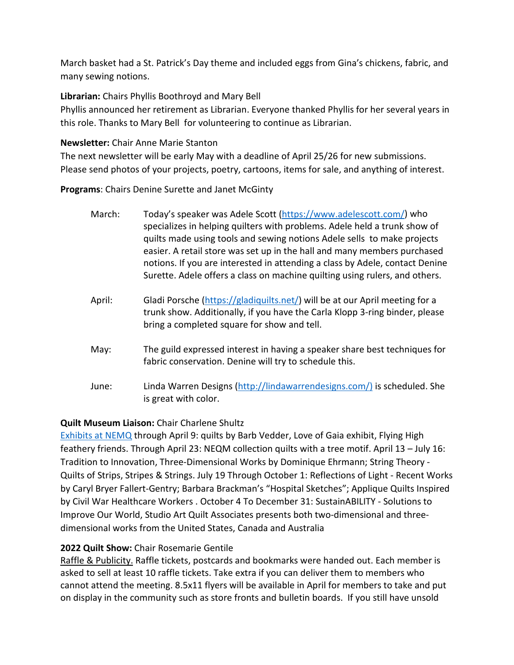March basket had a St. Patrick's Day theme and included eggs from Gina's chickens, fabric, and many sewing notions.

#### **Librarian:** Chairs Phyllis Boothroyd and Mary Bell

Phyllis announced her retirement as Librarian. Everyone thanked Phyllis for her several years in this role. Thanks to Mary Bell for volunteering to continue as Librarian.

### **Newsletter:** Chair Anne Marie Stanton

The next newsletter will be early May with a deadline of April 25/26 for new submissions. Please send photos of your projects, poetry, cartoons, items for sale, and anything of interest.

**Programs**: Chairs Denine Surette and Janet McGinty

- March: Today's speaker was Adele Scott [\(https://www.adelescott.com/\)](https://www.adelescott.com/) who specializes in helping quilters with problems. Adele held a trunk show of quilts made using tools and sewing notions Adele sells to make projects easier. A retail store was set up in the hall and many members purchased notions. If you are interested in attending a class by Adele, contact Denine Surette. Adele offers a class on machine quilting using rulers, and others.
- April: Gladi Porsche [\(https://gladiquilts.net/\)](https://gladiquilts.net/) will be at our April meeting for a trunk show. Additionally, if you have the Carla Klopp 3-ring binder, please bring a completed square for show and tell.
- May: The guild expressed interest in having a speaker share best techniques for fabric conservation. Denine will try to schedule this.
- June: Linda Warren Designs [\(http://lindawarrendesigns.com/\)](http://lindawarrendesigns.com/)i) is scheduled. She is great with color.

# **Quilt Museum Liaison:** Chair Charlene Shultz

[Exhibits at NEMQ](https://www.neqm.org/on-view-index) through April 9: quilts by Barb Vedder, Love of Gaia exhibit, Flying High feathery friends. Through April 23: NEQM collection quilts with a tree motif. April 13 – July 16: Tradition to Innovation, Three-Dimensional Works by Dominique Ehrmann; String Theory - Quilts of Strips, Stripes & Strings. July 19 Through October 1: Reflections of Light - Recent Works by Caryl Bryer Fallert-Gentry; Barbara Brackman's "Hospital Sketches"; Applique Quilts Inspired by Civil War Healthcare Workers . October 4 To December 31: SustainABILITY - Solutions to Improve Our World, Studio Art Quilt Associates presents both two-dimensional and threedimensional works from the United States, Canada and Australia

# **2022 Quilt Show:** Chair Rosemarie Gentile

Raffle & Publicity. Raffle tickets, postcards and bookmarks were handed out. Each member is asked to sell at least 10 raffle tickets. Take extra if you can deliver them to members who cannot attend the meeting. 8.5x11 flyers will be available in April for members to take and put on display in the community such as store fronts and bulletin boards. If you still have unsold